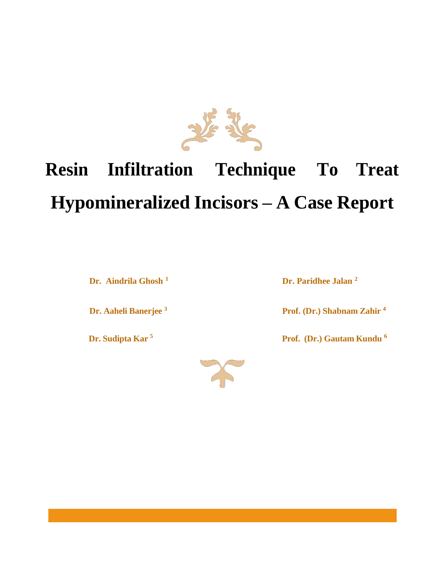

# **Resin Infiltration Technique To Treat Hypomineralized Incisors – A Case Report**

**Dr.** Aindrila Ghosh<sup>1</sup> **Dr.** Paridhee Jalan<sup>2</sup>

**Dr. Aaheli Banerjee <sup>3</sup> Prof. (Dr.) Shabnam Zahir <sup>4</sup>**

**Dr. Sudipta Kar 5 Prof. (Dr.) Gautam Kundu <sup>6</sup>** 

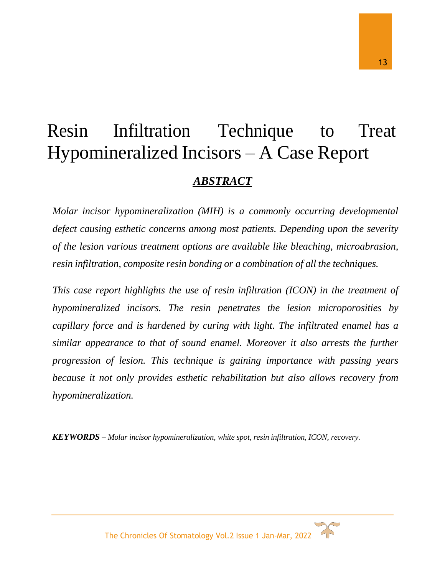# Resin Infiltration Technique to Treat Hypomineralized Incisors – A Case Report *ABSTRACT*

*Molar incisor hypomineralization (MIH) is a commonly occurring developmental defect causing esthetic concerns among most patients. Depending upon the severity of the lesion various treatment options are available like bleaching, microabrasion, resin infiltration, composite resin bonding or a combination of all the techniques.*

*This case report highlights the use of resin infiltration (ICON) in the treatment of hypomineralized incisors. The resin penetrates the lesion microporosities by capillary force and is hardened by curing with light. The infiltrated enamel has a similar appearance to that of sound enamel. Moreover it also arrests the further progression of lesion. This technique is gaining importance with passing years because it not only provides esthetic rehabilitation but also allows recovery from hypomineralization.*

*KEYWORDS – Molar incisor hypomineralization, white spot, resin infiltration, ICON, recovery.*



The Chronicles Of Stomatology Vol.2 Issue 1 Jan-Mar, 2022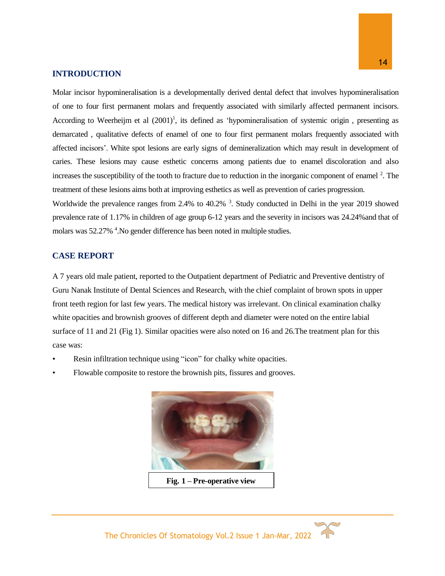#### **INTRODUCTION**

Molar incisor hypomineralisation is a developmentally derived dental defect that involves hypomineralisation of one to four first permanent molars and frequently associated with similarly affected permanent incisors. According to Weerheijm et al  $(2001)^1$ , its defined as 'hypomineralisation of systemic origin, presenting as demarcated , qualitative defects of enamel of one to four first permanent molars frequently associated with affected incisors'. White spot lesions are early signs of demineralization which may result in development of caries. These lesions may cause esthetic concerns among patients due to enamel discoloration and also increases the susceptibility of the tooth to fracture due to reduction in the inorganic component of enamel  $2$ . The treatment of these lesions aims both at improving esthetics as well as prevention of caries progression.

Worldwide the prevalence ranges from 2.4% to 40.2%<sup>3</sup>. Study conducted in Delhi in the year 2019 showed prevalence rate of 1.17% in children of age group 6-12 years and the severity in incisors was 24.24%and that of molars was 52.27% <sup>4</sup>. No gender difference has been noted in multiple studies.

#### **CASE REPORT**

A 7 years old male patient, reported to the Outpatient department of Pediatric and Preventive dentistry of Guru Nanak Institute of Dental Sciences and Research, with the chief complaint of brown spots in upper front teeth region for last few years. The medical history was irrelevant. On clinical examination chalky white opacities and brownish grooves of different depth and diameter were noted on the entire labial surface of 11 and 21 (Fig 1). Similar opacities were also noted on 16 and 26. The treatment plan for this case was:

- Resin infiltration technique using "icon" for chalky white opacities.
- Flowable composite to restore the brownish pits, fissures and grooves.



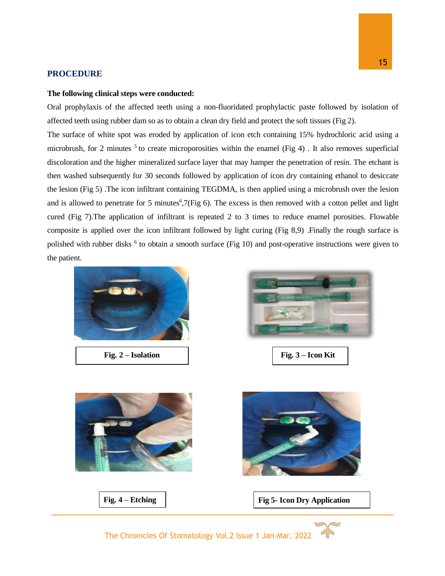#### **PROCEDURE**

#### **The following clinical steps were conducted:**

Oral prophylaxis of the affected teeth using a non-fluoridated prophylactic paste followed by isolation of affected teeth using rubber dam so as to obtain a clean dry field and protect the soft tissues (Fig 2).

The surface of white spot was eroded by application of icon etch containing 15% hydrochloric acid using a microbrush, for 2 minutes  $5$  to create microporosities within the enamel (Fig 4). It also removes superficial discoloration and the higher mineralized surface layer that may hamper the penetration of resin. The etchant is then washed subsequently for 30 seconds followed by application of icon dry containing ethanol to desiccate the lesion (Fig 5) .The icon infiltrant containing TEGDMA, is then applied using a microbrush over the lesion and is allowed to penetrate for 5 minutes<sup>6</sup>,7(Fig 6). The excess is then removed with a cotton pellet and light cured (Fig 7).The application of infiltrant is repeated 2 to 3 times to reduce enamel porosities. Flowable composite is applied over the icon infiltrant followed by light curing (Fig 8,9) .Finally the rough surface is polished with rubber disks <sup>6</sup> to obtain a smooth surface (Fig 10) and post-operative instructions were given to the patient.



The Chronicles Of Stomatology Vol.2 Issue 1 Jan-Mar, 2022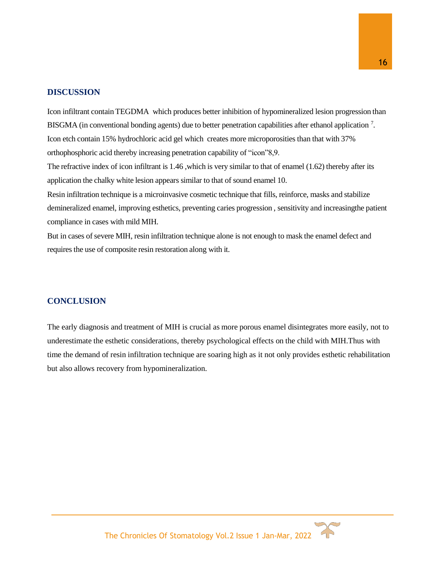#### **DISCUSSION**

Icon infiltrant contain TEGDMA which produces better inhibition of hypomineralized lesion progression than BISGMA (in conventional bonding agents) due to better penetration capabilities after ethanol application<sup>7</sup>. Icon etch contain 15% hydrochloric acid gel which creates more microporosities than that with 37% orthophosphoric acid thereby increasing penetration capability of "icon"8,9.

The refractive index of icon infiltrant is 1.46 ,which is very similar to that of enamel (1.62) thereby after its application the chalky white lesion appears similar to that of sound enamel 10.

Resin infiltration technique is a microinvasive cosmetic technique that fills, reinforce, masks and stabilize demineralized enamel, improving esthetics, preventing caries progression , sensitivity and increasingthe patient compliance in cases with mild MIH.

But in cases of severe MIH, resin infiltration technique alone is not enough to mask the enamel defect and requires the use of composite resin restoration along with it.

#### **CONCLUSION**

The early diagnosis and treatment of MIH is crucial as more porous enamel disintegrates more easily, not to underestimate the esthetic considerations, thereby psychological effects on the child with MIH.Thus with time the demand of resin infiltration technique are soaring high as it not only provides esthetic rehabilitation but also allows recovery from hypomineralization.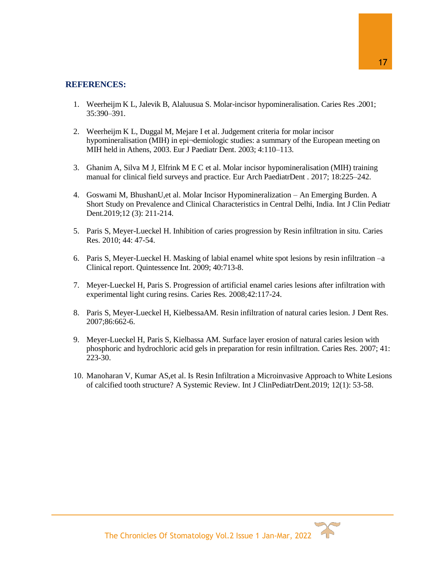### **REFERENCES:**

- 1. Weerheijm K L, Jalevik B, Alaluusua S. Molar-incisor hypomineralisation. Caries Res .2001; 35:390–391.
- 2. Weerheijm K L, Duggal M, Mejare I et al. Judgement criteria for molar incisor hypomineralisation (MIH) in epi¬demiologic studies: a summary of the European meeting on MIH held in Athens, 2003. Eur J Paediatr Dent. 2003; 4:110–113.
- 3. Ghanim A, Silva M J, Elfrink M E C et al. Molar incisor hypomineralisation (MIH) training manual for clinical field surveys and practice. Eur Arch PaediatrDent . 2017; 18:225–242.
- 4. Goswami M, BhushanU,et al. Molar Incisor Hypomineralization An Emerging Burden. A Short Study on Prevalence and Clinical Characteristics in Central Delhi, India. Int J Clin Pediatr Dent.2019;12 (3): 211-214.
- 5. Paris S, Meyer-Lueckel H. Inhibition of caries progression by Resin infiltration in situ. Caries Res. 2010; 44: 47-54.
- 6. Paris S, Meyer-Lueckel H. Masking of labial enamel white spot lesions by resin infiltration –a Clinical report. Quintessence Int. 2009; 40:713-8.
- 7. Meyer-Lueckel H, Paris S. Progression of artificial enamel caries lesions after infiltration with experimental light curing resins. Caries Res. 2008;42:117-24.
- 8. Paris S, Meyer-Lueckel H, KielbessaAM. Resin infiltration of natural caries lesion. J Dent Res. 2007;86:662-6.
- 9. Meyer-Lueckel H, Paris S, Kielbassa AM. Surface layer erosion of natural caries lesion with phosphoric and hydrochloric acid gels in preparation for resin infiltration. Caries Res. 2007; 41: 223-30.
- 10. Manoharan V, Kumar AS,et al. Is Resin Infiltration a Microinvasive Approach to White Lesions of calcified tooth structure? A Systemic Review. Int J ClinPediatrDent.2019; 12(1): 53-58.